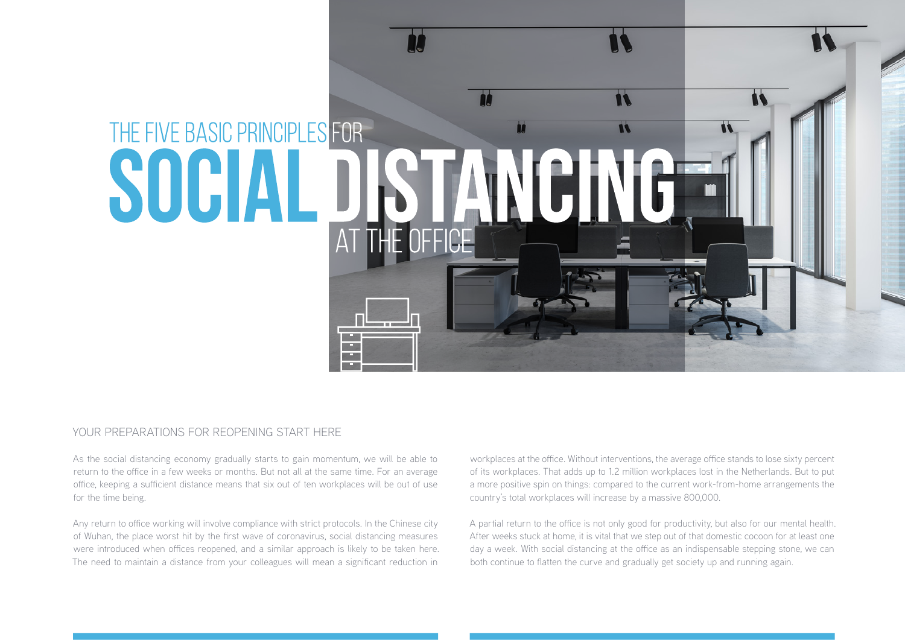

### YOUR PREPARATIONS FOR REOPENING START HERE

As the social distancing economy gradually starts to gain momentum, we will be able to return to the office in a few weeks or months. But not all at the same time. For an average office, keeping a sufficient distance means that six out of ten workplaces will be out of use for the time being.

Any return to office working will involve compliance with strict protocols. In the Chinese city of Wuhan, the place worst hit by the first wave of coronavirus, social distancing measures were introduced when offices reopened, and a similar approach is likely to be taken here. The need to maintain a distance from your colleagues will mean a significant reduction in

workplaces at the office. Without interventions, the average office stands to lose sixty percent of its workplaces. That adds up to 1.2 million workplaces lost in the Netherlands. But to put a more positive spin on things: compared to the current work-from-home arrangements the country's total workplaces will increase by a massive 800,000.

A partial return to the office is not only good for productivity, but also for our mental health. After weeks stuck at home, it is vital that we step out of that domestic cocoon for at least one day a week. With social distancing at the office as an indispensable stepping stone, we can both continue to flatten the curve and gradually get society up and running again.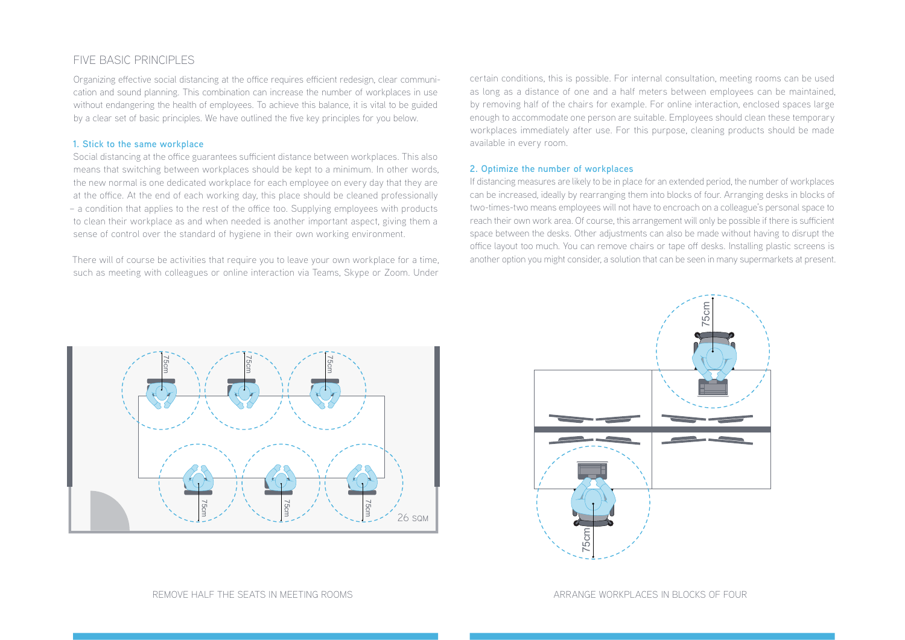## FIVE BASIC PRINCIPLES

Organizing effective social distancing at the office requires efficient redesign, clear communication and sound planning. This combination can increase the number of workplaces in use without endangering the health of employees. To achieve this balance, it is vital to be guided by a clear set of basic principles. We have outlined the five key principles for you below.

#### **1. Stick to the same workplace**

Social distancing at the office guarantees sufficient distance between workplaces. This also means that switching between workplaces should be kept to a minimum. In other words, the new normal is one dedicated workplace for each employee on every day that they are at the office. At the end of each working day, this place should be cleaned professionally – a condition that applies to the rest of the office too. Supplying employees with products to clean their workplace as and when needed is another important aspect, giving them a sense of control over the standard of hygiene in their own working environment.

There will of course be activities that require you to leave your own workplace for a time, such as meeting with colleagues or online interaction via Teams, Skype or Zoom. Under

certain conditions, this is possible. For internal consultation, meeting rooms can be used as long as a distance of one and a half meters between employees can be maintained, by removing half of the chairs for example. For online interaction, enclosed spaces large enough to accommodate one person are suitable. Employees should clean these temporary workplaces immediately after use. For this purpose, cleaning products should be made available in every room.

#### **2. Optimize the number of workplaces**

If distancing measures are likely to be in place for an extended period, the number of workplaces can be increased, ideally by rearranging them into blocks of four. Arranging desks in blocks of two-times-two means employees will not have to encroach on a colleague's personal space to reach their own work area. Of course, this arrangement will only be possible if there is sufficient space between the desks. Other adjustments can also be made without having to disrupt the office layout too much. You can remove chairs or tape off desks. Installing plastic screens is another option you might consider, a solution that can be seen in many supermarkets at present.



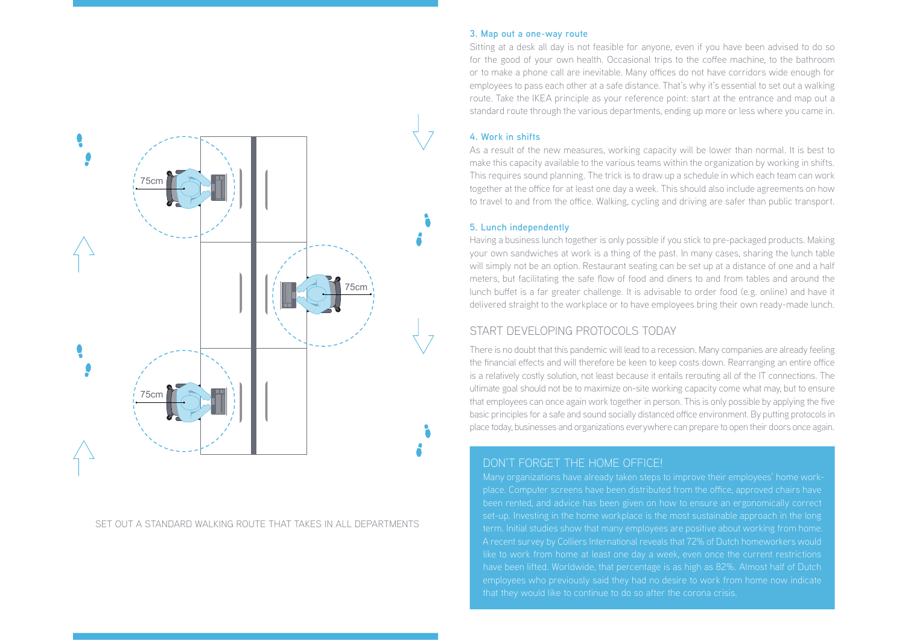

SET OUT A STANDARD WALKING ROUTE THAT TAKES IN ALL DEPARTMENTS

#### **3. Map out a one-way route**

Sitting at a desk all day is not feasible for anyone, even if you have been advised to do so for the good of your own health. Occasional trips to the coffee machine, to the bathroom or to make a phone call are inevitable. Many offices do not have corridors wide enough for employees to pass each other at a safe distance. That's why it's essential to set out a walking route. Take the IKEA principle as your reference point: start at the entrance and map out a standard route through the various departments, ending up more or less where you came in.

#### **4. Work in shifts**

As a result of the new measures, working capacity will be lower than normal. It is best to make this capacity available to the various teams within the organization by working in shifts. This requires sound planning. The trick is to draw up a schedule in which each team can work together at the office for at least one day a week. This should also include agreements on how to travel to and from the office. Walking, cycling and driving are safer than public transport.

#### **5. Lunch independently**

Having a business lunch together is only possible if you stick to pre-packaged products. Making your own sandwiches at work is a thing of the past. In many cases, sharing the lunch table will simply not be an option. Restaurant seating can be set up at a distance of one and a half meters, but facilitating the safe flow of food and diners to and from tables and around the lunch buffet is a far greater challenge. It is advisable to order food (e.g. online) and have it delivered straight to the workplace or to have employees bring their own ready-made lunch.

## START DEVELOPING PROTOCOLS TODAY

There is no doubt that this pandemic will lead to a recession. Many companies are already feeling the financial effects and will therefore be keen to keep costs down. Rearranging an entire office is a relatively costly solution, not least because it entails rerouting all of the IT connections. The ultimate goal should not be to maximize on-site working capacity come what may, but to ensure that employees can once again work together in person. This is only possible by applying the five basic principles for a safe and sound socially distanced office environment. By putting protocols in place today, businesses and organizations everywhere can prepare to open their doors once again.

# DON'T FORGET THE HOME OFFICE!

been rented, and advice has been given on how to ensure an ergonomically correct set-up. Investing in the home workplace is the most sustainable approach in the long have been lifted. Worldwide, that percentage is as high as 82%. Almost half of Dutch employees who previously said they had no desire to work from home now indicate